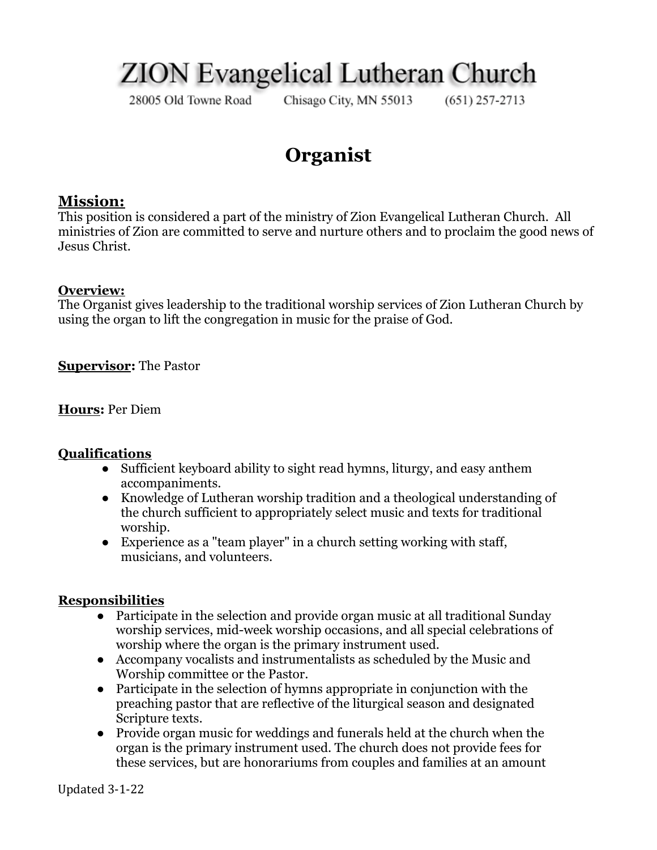# **ZION** Evangelical Lutheran Church

28005 Old Towne Road

Chisago City, MN 55013

 $(651)$  257-2713

## **Organist**

### **Mission:**

This position is considered a part of the ministry of Zion Evangelical Lutheran Church. All ministries of Zion are committed to serve and nurture others and to proclaim the good news of Jesus Christ.

#### **Overview:**

The Organist gives leadership to the traditional worship services of Zion Lutheran Church by using the organ to lift the congregation in music for the praise of God.

**Supervisor:** The Pastor

**Hours:** Per Diem

#### **Qualifications**

- Sufficient keyboard ability to sight read hymns, liturgy, and easy anthem accompaniments.
- Knowledge of Lutheran worship tradition and a theological understanding of the church sufficient to appropriately select music and texts for traditional worship.
- Experience as a "team player" in a church setting working with staff, musicians, and volunteers.

#### **Responsibilities**

- Participate in the selection and provide organ music at all traditional Sunday worship services, mid-week worship occasions, and all special celebrations of worship where the organ is the primary instrument used.
- Accompany vocalists and instrumentalists as scheduled by the Music and Worship committee or the Pastor.
- Participate in the selection of hymns appropriate in conjunction with the preaching pastor that are reflective of the liturgical season and designated Scripture texts.
- Provide organ music for weddings and funerals held at the church when the organ is the primary instrument used. The church does not provide fees for these services, but are honorariums from couples and families at an amount

Updated 3-1-22